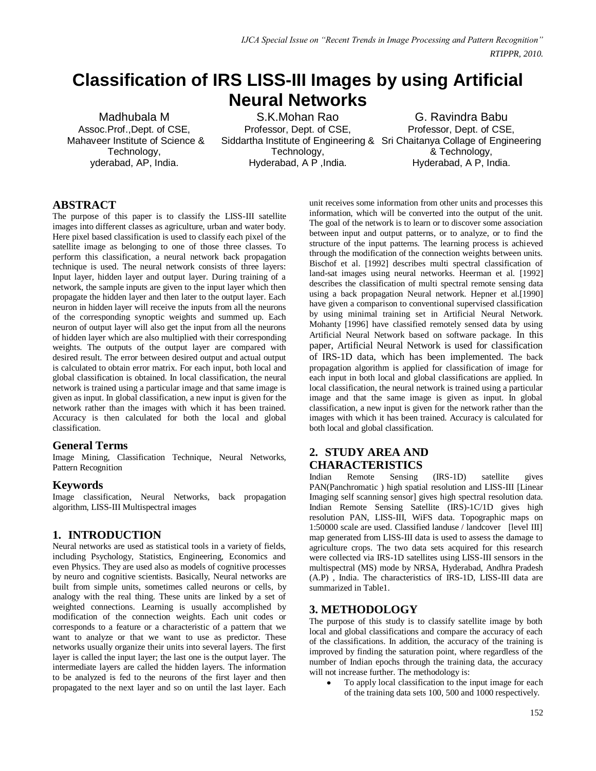# **Classification of IRS LISS-III Images by using Artificial Neural Networks**

Madhubala M Assoc.Prof.,Dept. of CSE, Mahaveer Institute of Science & Technology, yderabad, AP, India.

S.K.Mohan Rao Professor, Dept. of CSE, Siddartha Institute of Engineering & Sri Chaitanya Collage of Engineering Technology, Hyderabad, A P ,India.

G. Ravindra Babu Professor, Dept. of CSE, & Technology, Hyderabad, A P, India.

### **ABSTRACT**

The purpose of this paper is to classify the LISS-III satellite images into different classes as agriculture, urban and water body. Here pixel based classification is used to classify each pixel of the satellite image as belonging to one of those three classes. To perform this classification, a neural network back propagation technique is used. The neural network consists of three layers: Input layer, hidden layer and output layer. During training of a network, the sample inputs are given to the input layer which then propagate the hidden layer and then later to the output layer. Each neuron in hidden layer will receive the inputs from all the neurons of the corresponding synoptic weights and summed up. Each neuron of output layer will also get the input from all the neurons of hidden layer which are also multiplied with their corresponding weights. The outputs of the output layer are compared with desired result. The error between desired output and actual output is calculated to obtain error matrix. For each input, both local and global classification is obtained. In local classification, the neural network is trained using a particular image and that same image is given as input. In global classification, a new input is given for the network rather than the images with which it has been trained. Accuracy is then calculated for both the local and global classification.

### **General Terms**

Image Mining, Classification Technique, Neural Networks, Pattern Recognition

### **Keywords**

Image classification, Neural Networks, back propagation algorithm, LISS-III Multispectral images

### **1. INTRODUCTION**

Neural networks are used as statistical tools in a variety of fields, including Psychology, Statistics, Engineering, Economics and even Physics. They are used also as models of cognitive processes by neuro and cognitive scientists. Basically, Neural networks are built from simple units, sometimes called neurons or cells, by analogy with the real thing. These units are linked by a set of weighted connections. Learning is usually accomplished by modification of the connection weights. Each unit codes or corresponds to a feature or a characteristic of a pattern that we want to analyze or that we want to use as predictor. These networks usually organize their units into several layers. The first layer is called the input layer; the last one is the output layer. The intermediate layers are called the hidden layers. The information to be analyzed is fed to the neurons of the first layer and then propagated to the next layer and so on until the last layer. Each

unit receives some information from other units and processes this information, which will be converted into the output of the unit. The goal of the network is to learn or to discover some association between input and output patterns, or to analyze, or to find the structure of the input patterns. The learning process is achieved through the modification of the connection weights between units. Bischof et al. [1992] describes multi spectral classification of land-sat images using neural networks. Heerman et al. [1992] describes the classification of multi spectral remote sensing data using a back propagation Neural network. Hepner et al.[1990] have given a comparison to conventional supervised classification by using minimal training set in Artificial Neural Network. Mohanty [1996] have classified remotely sensed data by using Artificial Neural Network based on software package. In this paper, Artificial Neural Network is used for classification of IRS-1D data, which has been implemented. The back propagation algorithm is applied for classification of image for each input in both local and global classifications are applied. In local classification, the neural network is trained using a particular image and that the same image is given as input. In global classification, a new input is given for the network rather than the images with which it has been trained. Accuracy is calculated for both local and global classification.

# **2. STUDY AREA AND CHARACTERISTICS**<br>
Indian Remote Sensing

Indian Remote Sensing (IRS-1D) satellite gives PAN(Panchromatic ) high spatial resolution and LISS-III [Linear Imaging self scanning sensor] gives high spectral resolution data. Indian Remote Sensing Satellite (IRS)-1C/1D gives high resolution PAN, LISS-III, WiFS data. Topographic maps on 1:50000 scale are used. Classified landuse / landcover [level III] map generated from LISS-III data is used to assess the damage to agriculture crops. The two data sets acquired for this research were collected via IRS-1D satellites using LISS-III sensors in the multispectral (MS) mode by NRSA, Hyderabad, Andhra Pradesh (A.P) , India. The characteristics of IRS-1D, LISS-III data are summarized in Table1.

# **3. METHODOLOGY**

The purpose of this study is to classify satellite image by both local and global classifications and compare the accuracy of each of the classifications. In addition, the accuracy of the training is improved by finding the saturation point, where regardless of the number of Indian epochs through the training data, the accuracy will not increase further. The methodology is:

To apply local classification to the input image for each of the training data sets 100, 500 and 1000 respectively.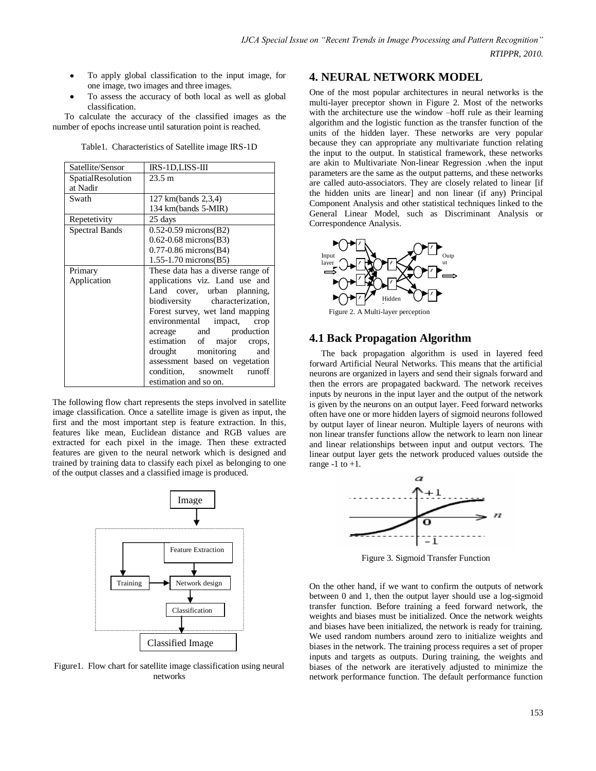- To apply global classification to the input image, for one image, two images and three images.
- To assess the accuracy of both local as well as global classification.

To calculate the accuracy of the classified images as the number of epochs increase until saturation point is reached.

| Satellite/Sensor      | IRS-1D,LISS-III                   |
|-----------------------|-----------------------------------|
| SpatialResolution     | 23.5 m                            |
| at Nadir              |                                   |
| Swath                 | 127 km(bands 2,3,4)               |
|                       | 134 km(bands 5-MIR)               |
| Repetetivity          | 25 days                           |
| <b>Spectral Bands</b> | $0.52 - 0.59$ microns(B2)         |
|                       | $0.62 - 0.68$ microns(B3)         |
|                       | $0.77 - 0.86$ microns(B4)         |
|                       | $1.55 - 1.70$ microns(B5)         |
| Primary               | These data has a diverse range of |
| Application           | applications viz. Land use and    |
|                       | Land cover, urban planning,       |
|                       | biodiversity characterization,    |
|                       | Forest survey, wet land mapping   |
|                       | environmental<br>impact,<br>crop  |
|                       | acreage and production            |
|                       | estimation of major<br>crops,     |
|                       | drought monitoring<br>and         |
|                       | assessment based on vegetation    |
|                       | condition, snowmelt<br>runoff     |
|                       | estimation and so on.             |

The following flow chart represents the steps involved in satellite image classification. Once a satellite image is given as input, the first and the most important step is feature extraction. In this, features like mean, Euclidean distance and RGB values are extracted for each pixel in the image. Then these extracted features are given to the neural network which is designed and trained by training data to classify each pixel as belonging to one of the output classes and a classified image is produced.



Figure1. Flow chart for satellite image classification using neural networks

#### **4. NEURAL NETWORK MODEL**

One of the most popular architectures in neural networks is the multi-layer preceptor shown in Figure 2. Most of the networks with the architecture use the window –hoff rule as their learning algorithm and the logistic function as the transfer function of the units of the hidden layer. These networks are very popular because they can appropriate any multivariate function relating the input to the output. In statistical framework, these networks are akin to Multivariate Non-linear Regression .when the input parameters are the same as the output patterns, and these networks are called auto-associators. They are closely related to linear [if the hidden units are linear] and non linear (if any) Principal Component Analysis and other statistical techniques linked to the General Linear Model, such as Discriminant Analysis or Correspondence Analysis.



Figure 2. A Multi-layer perception Layer

#### **4.1 Back Propagation Algorithm**

The back propagation algorithm is used in layered feed forward Artificial Neural Networks. This means that the artificial neurons are organized in layers and send their signals forward and then the errors are propagated backward. The network receives inputs by neurons in the input layer and the output of the network is given by the neurons on an output layer. Feed forward networks often have one or more hidden layers of sigmoid neurons followed by output layer of linear neuron. Multiple layers of neurons with non linear transfer functions allow the network to learn non linear and linear relationships between input and output vectors. The linear output layer gets the network produced values outside the range  $-1$  to  $+1$ .



Figure 3. Sigmoid Transfer Function

On the other hand, if we want to confirm the outputs of network between 0 and 1, then the output layer should use a log-sigmoid transfer function. Before training a feed forward network, the weights and biases must be initialized. Once the network weights and biases have been initialized, the network is ready for training. We used random numbers around zero to initialize weights and biases in the network. The training process requires a set of proper inputs and targets as outputs. During training, the weights and biases of the network are iteratively adjusted to minimize the network performance function. The default performance function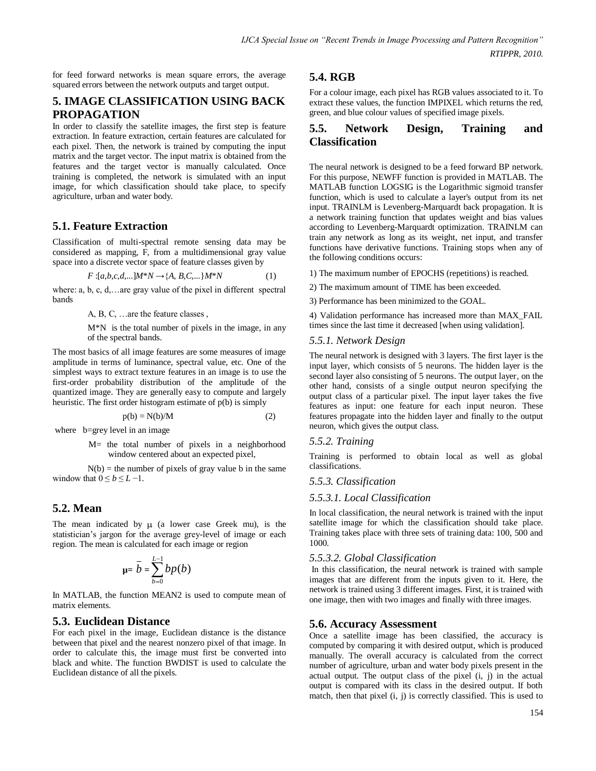for feed forward networks is mean square errors, the average squared errors between the network outputs and target output.

### **5. IMAGE CLASSIFICATION USING BACK PROPAGATION**

In order to classify the satellite images, the first step is feature extraction. In feature extraction, certain features are calculated for each pixel. Then, the network is trained by computing the input matrix and the target vector. The input matrix is obtained from the features and the target vector is manually calculated. Once training is completed, the network is simulated with an input image, for which classification should take place, to specify agriculture, urban and water body.

# **5.1. Feature Extraction**

Classification of multi-spectral remote sensing data may be considered as mapping, F, from a multidimensional gray value space into a discrete vector space of feature classes given by

$$
F:[a,b,c,d,...]M^*N \to \{A, B, C,...\}M^*N
$$
 (1)

where: a, b, c, d,…are gray value of the pixel in different spectral bands

A, B, C, …are the feature classes ,

M\*N is the total number of pixels in the image, in any of the spectral bands.

The most basics of all image features are some measures of image amplitude in terms of luminance, spectral value, etc. One of the simplest ways to extract texture features in an image is to use the first-order probability distribution of the amplitude of the quantized image. They are generally easy to compute and largely heuristic. The first order histogram estimate of p(b) is simply

$$
p(b) = N(b)/M
$$
 (2)

where b=grey level in an image

M= the total number of pixels in a neighborhood window centered about an expected pixel,

 $N(b)$  = the number of pixels of gray value b in the same window that  $0 \le b \le L-1$ .

# **5.2. Mean**

The mean indicated by  $\mu$  (a lower case Greek mu), is the statistician's jargon for the average grey-level of image or each region. The mean is calculated for each image or region

$$
\mathbf{u} = \overline{b} = \sum_{b=0}^{L-1} bp(b)
$$

In MATLAB, the function MEAN2 is used to compute mean of matrix elements.

### **5.3. Euclidean Distance**

For each pixel in the image, Euclidean distance is the distance between that pixel and the nearest nonzero pixel of that image. In order to calculate this, the image must first be converted into black and white. The function BWDIST is used to calculate the Euclidean distance of all the pixels.

# **5.4. RGB**

For a colour image, each pixel has RGB values associated to it. To extract these values, the function IMPIXEL which returns the red, green, and blue colour values of specified image pixels.

# **5.5. Network Design, Training and Classification**

The neural network is designed to be a feed forward BP network. For this purpose, NEWFF function is provided in MATLAB. The MATLAB function LOGSIG is the Logarithmic sigmoid transfer function, which is used to calculate a layer's output from its net input. TRAINLM is Levenberg-Marquardt back propagation. It is a network training function that updates weight and bias values according to Levenberg-Marquardt optimization. TRAINLM can train any network as long as its weight, net input, and transfer functions have derivative functions. Training stops when any of the following conditions occurs:

1) The maximum number of EPOCHS (repetitions) is reached.

- 2) The maximum amount of TIME has been exceeded.
- 3) Performance has been minimized to the GOAL.

4) Validation performance has increased more than MAX\_FAIL times since the last time it decreased [when using validation].

#### *5.5.1. Network Design*

The neural network is designed with 3 layers. The first layer is the input layer, which consists of 5 neurons. The hidden layer is the second layer also consisting of 5 neurons. The output layer, on the other hand, consists of a single output neuron specifying the output class of a particular pixel. The input layer takes the five features as input: one feature for each input neuron. These features propagate into the hidden layer and finally to the output neuron, which gives the output class.

#### *5.5.2. Training*

Training is performed to obtain local as well as global classifications.

#### *5.5.3. Classification*

#### *5.5.3.1. Local Classification*

In local classification, the neural network is trained with the input satellite image for which the classification should take place. Training takes place with three sets of training data: 100, 500 and 1000.

#### *5.5.3.2. Global Classification*

In this classification, the neural network is trained with sample images that are different from the inputs given to it. Here, the network is trained using 3 different images. First, it is trained with one image, then with two images and finally with three images.

### **5.6. Accuracy Assessment**

Once a satellite image has been classified, the accuracy is computed by comparing it with desired output, which is produced manually. The overall accuracy is calculated from the correct number of agriculture, urban and water body pixels present in the actual output. The output class of the pixel (i, j) in the actual output is compared with its class in the desired output. If both match, then that pixel (i, j) is correctly classified. This is used to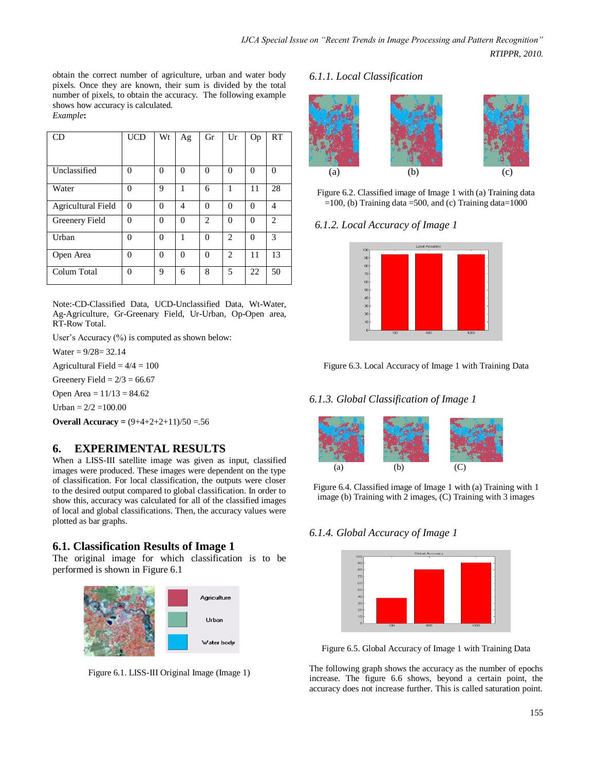obtain the correct number of agriculture, urban and water body pixels. Once they are known, their sum is divided by the total number of pixels, to obtain the accuracy. The following example shows how accuracy is calculated. *Example***:**

CD | UCD | Wt | Ag | Gr | Ur | Op | RT Unclassified 0 0 0 0 0 0 0 Water 0 9 1 6 1 11 28 Agricultural Field 0 0 4 0 0 0 4 Greenery Field 0 0 0 2 0 0 2 Urban 0 0 1 0 2 0 3 Open Area 0 0 0 0 2 11 13 Colum Total 0 9 6 8 5 22 50

Note:-CD-Classified Data, UCD-Unclassified Data, Wt-Water, Ag-Agriculture, Gr-Greenary Field, Ur-Urban, Op-Open area, RT-Row Total.

User's Accuracy (%) is computed as shown below:

Water =  $9/28 = 32.14$ 

Agricultural Field  $= 4/4 = 100$ 

Greenery Field =  $2/3$  = 66.67

Open Area =  $11/13 = 84.62$ 

Urban =  $2/2$  = 100.00

**Overall Accuracy =** (9+4+2+2+11)/50 =.56

# **6. EXPERIMENTAL RESULTS**

When a LISS-III satellite image was given as input, classified images were produced. These images were dependent on the type of classification. For local classification, the outputs were closer to the desired output compared to global classification. In order to show this, accuracy was calculated for all of the classified images of local and global classifications. Then, the accuracy values were plotted as bar graphs.

# **6.1. Classification Results of Image 1**

The original image for which classification is to be performed is shown in Figure 6.1





### *6.1.1. Local Classification*



Figure 6.2. Classified image of Image 1 with (a) Training data  $=100$ , (b) Training data  $=500$ , and (c) Training data $=1000$ 

### *6.1.2. Local Accuracy of Image 1*



Figure 6.3. Local Accuracy of Image 1 with Training Data

# *6.1.3. Global Classification of Image 1*



Figure 6.4. Classified image of Image 1 with (a) Training with 1 image (b) Training with 2 images, (C) Training with 3 images

# *6.1.4. Global Accuracy of Image 1*



Figure 6.5. Global Accuracy of Image 1 with Training Data

The following graph shows the accuracy as the number of epochs increase. The figure 6.6 shows, beyond a certain point, the accuracy does not increase further. This is called saturation point.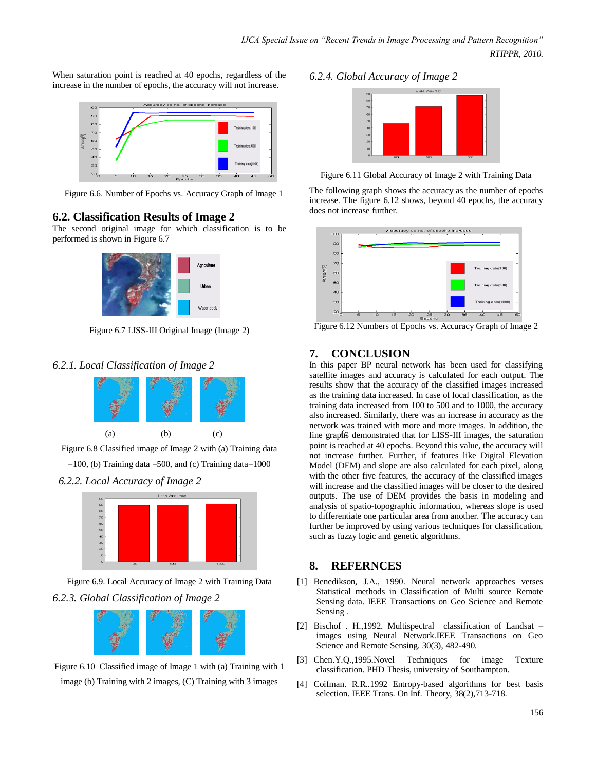When saturation point is reached at 40 epochs, regardless of the increase in the number of epochs, the accuracy will not increase.



Figure 6.6. Number of Epochs vs. Accuracy Graph of Image 1

# **6.2. Classification Results of Image 2**

The second original image for which classification is to be performed is shown in Figure 6.7



Figure 6.7 LISS-III Original Image (Image 2)

### *6.2.1. Local Classification of Image 2*



Figure 6.8 Classified image of Image 2 with (a) Training data







Figure 6.9. Local Accuracy of Image 2 with Training Data *6.2.3. Global Classification of Image 2*



Figure 6.10 Classified image of Image 1 with (a) Training with 1 image (b) Training with 2 images, (C) Training with 3 images

### *6.2.4. Global Accuracy of Image 2*



Figure 6.11 Global Accuracy of Image 2 with Training Data

The following graph shows the accuracy as the number of epochs increase. The figure 6.12 shows, beyond 40 epochs, the accuracy does not increase further.



Figure 6.12 Numbers of Epochs vs. Accuracy Graph of Image 2

# **7. CONCLUSION**

(a) (b) (c) line graphs demonstrated that for LISS-III images, the saturation In this paper BP neural network has been used for classifying satellite images and accuracy is calculated for each output. The results show that the accuracy of the classified images increased as the training data increased. In case of local classification, as the training data increased from 100 to 500 and to 1000, the accuracy also increased. Similarly, there was an increase in accuracy as the network was trained with more and more images. In addition, the point is reached at 40 epochs. Beyond this value, the accuracy will not increase further. Further, if features like Digital Elevation Model (DEM) and slope are also calculated for each pixel, along with the other five features, the accuracy of the classified images will increase and the classified images will be closer to the desired outputs. The use of DEM provides the basis in modeling and analysis of spatio-topographic information, whereas slope is used to differentiate one particular area from another. The accuracy can further be improved by using various techniques for classification, such as fuzzy logic and genetic algorithms.

# **8. REFERNCES**

- [1] Benedikson, J.A., 1990. Neural network approaches verses Statistical methods in Classification of Multi source Remote Sensing data. IEEE Transactions on Geo Science and Remote Sensing .
- [2] Bischof . H.,1992. Multispectral classification of Landsat images using Neural Network.IEEE Transactions on Geo Science and Remote Sensing. 30(3), 482-490.
- [3] Chen.Y.Q.,1995.Novel Techniques for image Texture classification. PHD Thesis, university of Southampton.
- [4] Coifman. R.R..1992 Entropy-based algorithms for best basis selection. IEEE Trans. On Inf. Theory, 38(2),713-718.